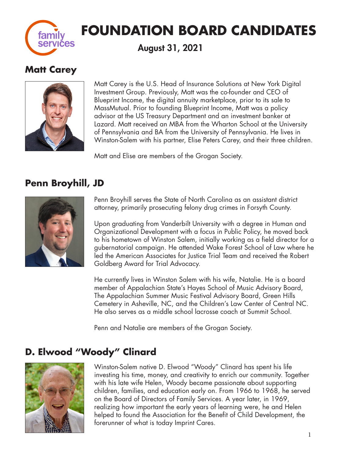

# **FOUNDATION BOARD CANDIDATES**

August 31, 2021

# **Matt Carey**



Matt Carey is the U.S. Head of Insurance Solutions at New York Digital Investment Group. Previously, Matt was the co-founder and CEO of Blueprint Income, the digital annuity marketplace, prior to its sale to MassMutual. Prior to founding Blueprint Income, Matt was a policy advisor at the US Treasury Department and an investment banker at Lazard. Matt received an MBA from the Wharton School at the University of Pennsylvania and BA from the University of Pennsylvania. He lives in Winston-Salem with his partner, Elise Peters Carey, and their three children.

Matt and Elise are members of the Grogan Society.

# **Penn Broyhill, JD**



Penn Broyhill serves the State of North Carolina as an assistant district attorney, primarily prosecuting felony drug crimes in Forsyth County.

Upon graduating from Vanderbilt University with a degree in Human and Organizational Development with a focus in Public Policy, he moved back to his hometown of Winston Salem, initially working as a field director for a gubernatorial campaign. He attended Wake Forest School of Law where he led the American Associates for Justice Trial Team and received the Robert Goldberg Award for Trial Advocacy.

He currently lives in Winston Salem with his wife, Natalie. He is a board member of Appalachian State's Hayes School of Music Advisory Board, The Appalachian Summer Music Festival Advisory Board, Green Hills Cemetery in Asheville, NC, and the Children's Law Center of Central NC. He also serves as a middle school lacrosse coach at Summit School.

Penn and Natalie are members of the Grogan Society.

# **D. Elwood "Woody" Clinard**



Winston-Salem native D. Elwood "Woody" Clinard has spent his life investing his time, money, and creativity to enrich our community. Together with his late wife Helen, Woody became passionate about supporting children, families, and education early on. From 1966 to 1968, he served on the Board of Directors of Family Services. A year later, in 1969, realizing how important the early years of learning were, he and Helen helped to found the Association for the Benefit of Child Development, the forerunner of what is today Imprint Cares.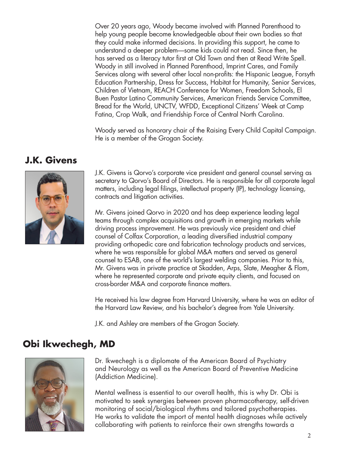Over 20 years ago, Woody became involved with Planned Parenthood to help young people become knowledgeable about their own bodies so that they could make informed decisions. In providing this support, he came to understand a deeper problem—some kids could not read. Since then, he has served as a literacy tutor first at Old Town and then at Read Write Spell. Woody in still involved in Planned Parenthood, Imprint Cares, and Family Services along with several other local non-profits: the Hispanic League, Forsyth Education Partnership, Dress for Success, Habitat for Humanity, Senior Services, Children of Vietnam, REACH Conference for Women, Freedom Schools, El Buen Pastor Latino Community Services, American Friends Service Committee, Bread for the World, UNCTV, WFDD, Exceptional Citizens' Week at Camp Fatina, Crop Walk, and Friendship Force of Central North Carolina.

Woody served as honorary chair of the Raising Every Child Capital Campaign. He is a member of the Grogan Society.

#### **J.K. Givens**



J.K. Givens is Qorvo's corporate vice president and general counsel serving as secretary to Qorvo's Board of Directors. He is responsible for all corporate legal matters, including legal filings, intellectual property (IP), technology licensing, contracts and litigation activities.

Mr. Givens joined Qorvo in 2020 and has deep experience leading legal teams through complex acquisitions and growth in emerging markets while driving process improvement. He was previously vice president and chief counsel of Colfax Corporation, a leading diversified industrial company providing orthopedic care and fabrication technology products and services, where he was responsible for global M&A matters and served as general counsel to ESAB, one of the world's largest welding companies. Prior to this, Mr. Givens was in private practice at Skadden, Arps, Slate, Meagher & Flom, where he represented corporate and private equity clients, and focused on cross-border M&A and corporate finance matters.

He received his law degree from Harvard University, where he was an editor of the Harvard Law Review, and his bachelor's degree from Yale University.

J.K. and Ashley are members of the Grogan Society.

### **Obi Ikwechegh, MD**



Dr. Ikwechegh is a diplomate of the American Board of Psychiatry and Neurology as well as the American Board of Preventive Medicine (Addiction Medicine).

Mental wellness is essential to our overall health, this is why Dr. Obi is motivated to seek synergies between proven pharmacotherapy, self-driven monitoring of social/biological rhythms and tailored psychotherapies. He works to validate the import of mental health diagnoses while actively collaborating with patients to reinforce their own strengths towards a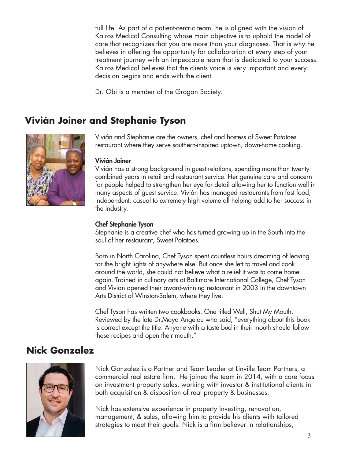full life. As part of a patient-centric team, he is aligned with the vision of Kairos Medical Consulting whose main objective is to uphold the model of care that recognizes that you are more than your diagnoses. That is why he believes in offering the opportunity for collaboration at every step of your treatment journey with an impeccable team that is dedicated to your success. Kairos Medical believes that the clients voice is very important and every decision begins and ends with the client.

Dr. Obi is a member of the Grogan Society.

# **Vivián Joiner and Stephanie Tyson**



Vivián and Stephanie are the owners, chef and hostess of Sweet Potatoes restaurant where they serve southern-inspired uptown, down-home cooking.

#### Vivián Joiner

Vivián has a strong background in guest relations, spending more than twenty combined years in retail and restaurant service. Her genuine care and concern for people helped to strengthen her eye for detail allowing her to function well in many aspects of guest service. Vivián has managed restaurants from fast food, independent, casual to extremely high volume all helping add to her success in the industry.

#### Chef Stephanie Tyson

Stephanie is a creative chef who has turned growing up in the South into the soul of her restaurant, Sweet Potatoes.

Born in North Carolina, Chef Tyson spent countless hours dreaming of leaving for the bright lights of anywhere else. But once she left to travel and cook around the world, she could not believe what a relief it was to come home again. Trained in culinary arts at Baltimore International College, Chef Tyson and Vivian opened their award-winning restaurant in 2003 in the downtown Arts District of Winston-Salem, where they live.

Chef Tyson has written two cookbooks. One titled Well, Shut My Mouth. Reviewed by the late Dr.Maya Angelou who said, "everything about this book is correct except the title. Anyone with a taste bud in their mouth should follow these recipes and open their mouth."

#### **Nick Gonzalez**



Nick Gonzalez is a Partner and Team Leader at Linville Team Partners, a commercial real estate firm. He joined the team in 2014, with a core focus on investment property sales, working with investor & institutional clients in both acquisition & disposition of real property & businesses.

Nick has extensive experience in property investing, renovation, management, & sales, allowing him to provide his clients with tailored strategies to meet their goals. Nick is a firm believer in relationships,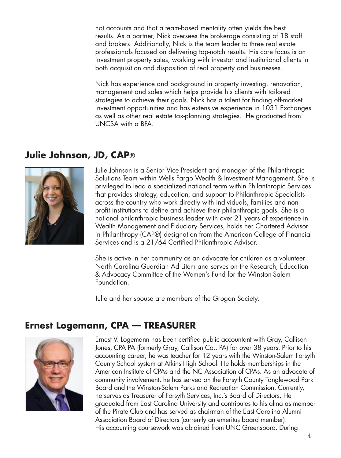not accounts and that a team-based mentality often yields the best results. As a partner, Nick oversees the brokerage consisting of 18 staff and brokers. Additionally, Nick is the team leader to three real estate professionals focused on delivering top-notch results. His core focus is on investment property sales, working with investor and institutional clients in both acquisition and disposition of real property and businesses.

Nick has experience and background in property investing, renovation, management and sales which helps provide his clients with tailored strategies to achieve their goals. Nick has a talent for finding off-market investment opportunities and has extensive experience in 1031 Exchanges as well as other real estate tax-planning strategies. He graduated from UNCSA with a BFA.

## **Julie Johnson, JD, CAP**®



Julie Johnson is a Senior Vice President and manager of the Philanthropic Solutions Team within Wells Fargo Wealth & Investment Management. She is privileged to lead a specialized national team within Philanthropic Services that provides strategy, education, and support to Philanthropic Specialists across the country who work directly with individuals, families and nonprofit institutions to define and achieve their philanthropic goals. She is a national philanthropic business leader with over 21 years of experience in Wealth Management and Fiduciary Services, holds her Chartered Advisor in Philanthropy (CAP®) designation from the American College of Financial Services and is a 21/64 Certified Philanthropic Advisor.

She is active in her community as an advocate for children as a volunteer North Carolina Guardian Ad Litem and serves on the Research, Education & Advocacy Committee of the Women's Fund for the Winston-Salem Foundation.

Julie and her spouse are members of the Grogan Society.

#### **Ernest Logemann, CPA — TREASURER**



Ernest V. Logemann has been certified public accountant with Gray, Callison Jones, CPA PA (formerly Gray, Callison Co., PA) for over 38 years. Prior to his accounting career, he was teacher for 12 years with the Winston-Salem Forsyth County School system at Atkins High School. He holds memberships in the American Institute of CPAs and the NC Association of CPAs. As an advocate of community involvement, he has served on the Forsyth County Tanglewood Park Board and the Winston-Salem Parks and Recreation Commission. Currently, he serves as Treasurer of Forsyth Services, Inc.'s Board of Directors. He graduated from East Carolina University and contributes to his alma as member of the Pirate Club and has served as chairman of the East Carolina Alumni Association Board of Directors (currently an emeritus board member). His accounting coursework was obtained from UNC Greensboro. During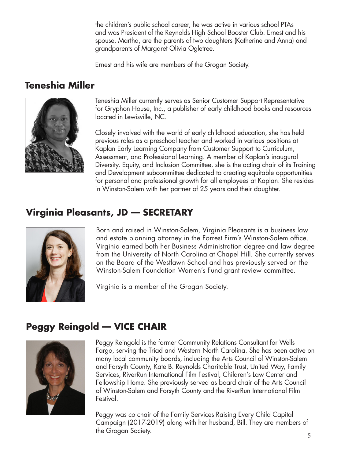the children's public school career, he was active in various school PTAs and was President of the Reynolds High School Booster Club. Ernest and his spouse, Martha, are the parents of two daughters (Katherine and Anna) and grandparents of Margaret Olivia Ogletree.

Ernest and his wife are members of the Grogan Society.

# **Teneshia Miller**



Teneshia Miller currently serves as Senior Customer Support Representative for Gryphon House, Inc., a publisher of early childhood books and resources located in Lewisville, NC.

Closely involved with the world of early childhood education, she has held previous roles as a preschool teacher and worked in various positions at Kaplan Early Learning Company from Customer Support to Curriculum, Assessment, and Professional Learning. A member of Kaplan's inaugural Diversity, Equity, and Inclusion Committee, she is the acting chair of its Training and Development subcommittee dedicated to creating equitable opportunities for personal and professional growth for all employees at Kaplan. She resides in Winston-Salem with her partner of 25 years and their daughter.

# **Virginia Pleasants, JD — SECRETARY**



Born and raised in Winston-Salem, Virginia Pleasants is a business law and estate planning attorney in the Forrest Firm's Winston-Salem office. Virginia earned both her Business Administration degree and law degree from the University of North Carolina at Chapel Hill. She currently serves on the Board of the Westlawn School and has previously served on the Winston-Salem Foundation Women's Fund grant review committee.

Virginia is a member of the Grogan Society.

# **Peggy Reingold — VICE CHAIR**



Peggy Reingold is the former Community Relations Consultant for Wells Fargo, serving the Triad and Western North Carolina. She has been active on many local community boards, including the Arts Council of Winston-Salem and Forsyth County, Kate B. Reynolds Charitable Trust, United Way, Family Services, RiverRun International Film Festival, Children's Law Center and Fellowship Home. She previously served as board chair of the Arts Council of Winston-Salem and Forsyth County and the RiverRun International Film Festival.

Peggy was co chair of the Family Services Raising Every Child Capital Campaign (2017-2019) along with her husband, Bill. They are members of the Grogan Society. 2008. The Grogan Society of the Street of the Street of the Street of the Street of the Street of the Street of the Street of the Street of the Street of the Street of the Street of the Street of the St